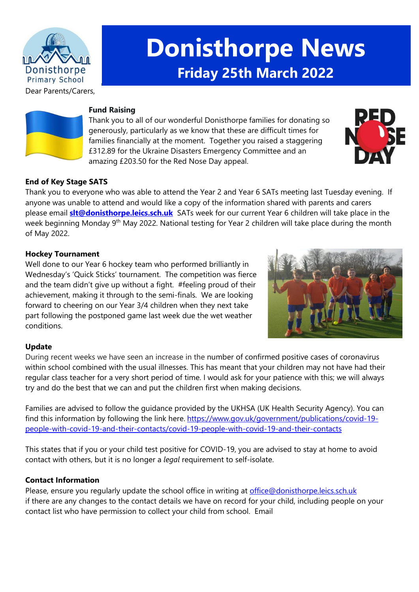

# **Donisthorpe News Friday 25th March 2022**

Dear Parents/Carers,



#### **Fund Raising**

Thank you to all of our wonderful Donisthorpe families for donating so generously, particularly as we know that these are difficult times for families financially at the moment. Together you raised a staggering £312.89 for the Ukraine Disasters Emergency Committee and an amazing £203.50 for the Red Nose Day appeal.



## **End of Key Stage SATS**

Thank you to everyone who was able to attend the Year 2 and Year 6 SATs meeting last Tuesday evening. If anyone was unable to attend and would like a copy of the information shared with parents and carers please email **[slt@donisthorpe.leics.sch.uk](mailto:slt@donisthorpe.leics.sch.uk)** SATs week for our current Year 6 children will take place in the week beginning Monday 9<sup>th</sup> May 2022. National testing for Year 2 children will take place during the month of May 2022.

#### **Hockey Tournament**

Well done to our Year 6 hockey team who performed brilliantly in Wednesday's 'Quick Sticks' tournament. The competition was fierce and the team didn't give up without a fight. #feeling proud of their achievement, making it through to the semi-finals. We are looking forward to cheering on our Year 3/4 children when they next take part following the postponed game last week due the wet weather conditions.



## **Update**

During recent weeks we have seen an increase in the number of confirmed positive cases of coronavirus within school combined with the usual illnesses. This has meant that your children may not have had their regular class teacher for a very short period of time. I would ask for your patience with this; we will always try and do the best that we can and put the children first when making decisions.

Families are advised to follow the guidance provided by the UKHSA (UK Health Security Agency). You can find this information by following the link here. [https://www.gov.uk/government/publications/covid-19](https://www.gov.uk/government/publications/covid-19-people-with-covid-19-and-their-contacts/covid-19-people-with-covid-19-and-their-contacts) [people-with-covid-19-and-their-contacts/covid-19-people-with-covid-19-and-their-contacts](https://www.gov.uk/government/publications/covid-19-people-with-covid-19-and-their-contacts/covid-19-people-with-covid-19-and-their-contacts)

This states that if you or your child test positive for COVID-19, you are advised to stay at home to avoid contact with others, but it is no longer a *legal* requirement to self-isolate.

## **Contact Information**

Please, ensure you regularly update the school office in writing at [office@donisthorpe.leics.sch.uk](mailto:office@donisthorpe.leics.sch.uk) if there are any changes to the contact details we have on record for your child, including people on your contact list who have permission to collect your child from school. Email